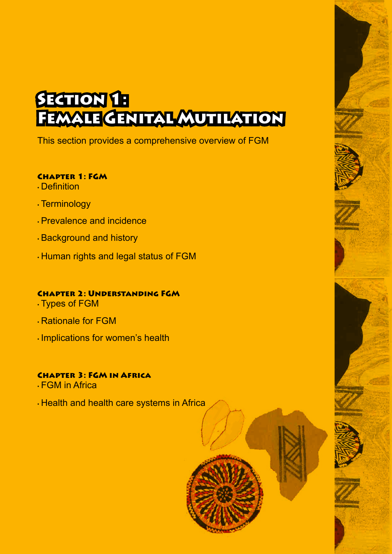# **SECTION 1:** Female Genital Mutilation

This section provides a comprehensive overview of FGM

#### Chapter 1: FGM

- Definition
- Terminology
- Prevalence and incidence
- Background and history
- Human rights and legal status of FGM

### Chapter 2: Understanding FGM

- Types of FGM
- Rationale for FGM
- Implications for women's health

### Chapter 3: FGM in Africa

- FGM in Africa
- Health and health care systems in Africa

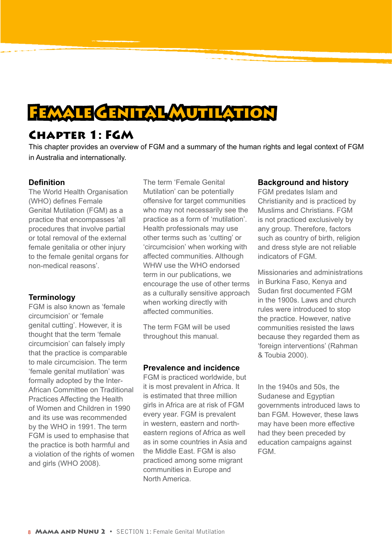## **FEMALE GENITAL MUTILATION**

### Chapter 1: FGM

This chapter provides an overview of FGM and a summary of the human rights and legal context of FGM in Australia and internationally.

#### **Definition**

The World Health Organisation (WHO) defines Female Genital Mutilation (FGM) as a practice that encompasses 'all procedures that involve partial or total removal of the external female genitalia or other injury to the female genital organs for non-medical reasons'.

#### **Terminology**

FGM is also known as 'female circumcision' or 'female genital cutting'. However, it is thought that the term 'female circumcision' can falsely imply that the practice is comparable to male circumcision. The term 'female genital mutilation' was formally adopted by the Inter-African Committee on Traditional Practices Affecting the Health of Women and Children in 1990 and its use was recommended by the WHO in 1991. The term FGM is used to emphasise that the practice is both harmful and a violation of the rights of women and girls (WHO 2008).

The term 'Female Genital Mutilation' can be potentially offensive for target communities who may not necessarily see the practice as a form of 'mutilation'. Health professionals may use other terms such as 'cutting' or 'circumcision' when working with affected communities. Although WHW use the WHO endorsed term in our publications, we encourage the use of other terms as a culturally sensitive approach when working directly with affected communities.

The term FGM will be used throughout this manual.

#### **Prevalence and incidence**

FGM is practiced worldwide, but it is most prevalent in Africa. It is estimated that three million girls in Africa are at risk of FGM every year. FGM is prevalent in western, eastern and northeastern regions of Africa as well as in some countries in Asia and the Middle East. FGM is also practiced among some migrant communities in Europe and North America.

#### **Background and history**

FGM predates Islam and Christianity and is practiced by Muslims and Christians. FGM is not practiced exclusively by any group. Therefore, factors such as country of birth, religion and dress style are not reliable indicators of FGM.

Missionaries and administrations in Burkina Faso, Kenya and Sudan first documented FGM in the 1900s. Laws and church rules were introduced to stop the practice. However, native communities resisted the laws because they regarded them as 'foreign interventions' (Rahman & Toubia 2000).

In the 1940s and 50s, the Sudanese and Egyptian governments introduced laws to ban FGM. However, these laws may have been more effective had they been preceded by education campaigns against FGM.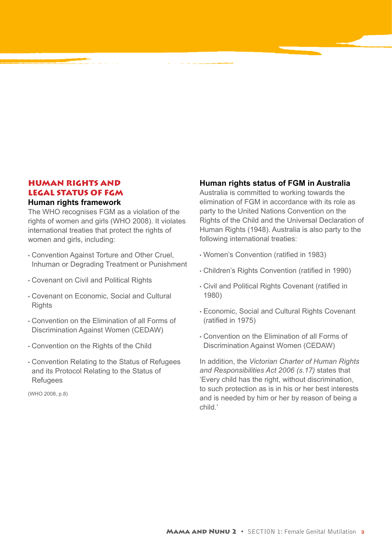#### HUMAN RIGHTS AND LEGAL STATUS OF FGM **Human rights framework**

The WHO recognises FGM as a violation of the rights of women and girls (WHO 2008). It violates international treaties that protect the rights of women and girls, including:

- Convention Against Torture and Other Cruel, Inhuman or Degrading Treatment or Punishment
- Covenant on Civil and Political Rights
- Covenant on Economic, Social and Cultural **Rights**
- Convention on the Elimination of all Forms of Discrimination Against Women (CEDAW)
- Convention on the Rights of the Child
- Convention Relating to the Status of Refugees and its Protocol Relating to the Status of Refugees

(WHO 2008, p.8)

#### **Human rights status of FGM in Australia**

Australia is committed to working towards the elimination of FGM in accordance with its role as party to the United Nations Convention on the Rights of the Child and the Universal Declaration of Human Rights (1948). Australia is also party to the following international treaties:

- Women's Convention (ratified in 1983)
- Children's Rights Convention (ratified in 1990)
- Civil and Political Rights Covenant (ratified in 1980)
- Economic, Social and Cultural Rights Covenant (ratified in 1975)
- Convention on the Elimination of all Forms of Discrimination Against Women (CEDAW)

In addition, the *Victorian Charter of Human Rights and Responsibilities Act 2006 (s.17)* states that 'Every child has the right, without discrimination, to such protection as is in his or her best interests and is needed by him or her by reason of being a child.'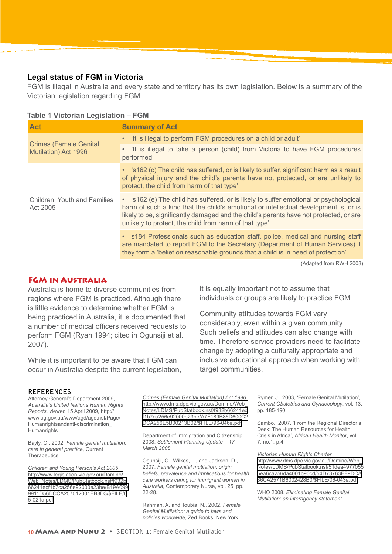#### **Legal status of FGM in Victoria**

FGM is illegal in Australia and every state and territory has its own legislation. Below is a summary of the Victorian legislation regarding FGM.

#### **Table 1 Victorian Legislation – FGM**

| <b>Act</b>                                            | <b>Summary of Act</b>                                                                                                                                                                                                                                                                                                             |  |  |
|-------------------------------------------------------|-----------------------------------------------------------------------------------------------------------------------------------------------------------------------------------------------------------------------------------------------------------------------------------------------------------------------------------|--|--|
| <b>Crimes (Female Genital</b><br>Mutilation) Act 1996 | • 'It is illegal to perform FGM procedures on a child or adult'                                                                                                                                                                                                                                                                   |  |  |
|                                                       | . It is illegal to take a person (child) from Victoria to have FGM procedures<br>performed'                                                                                                                                                                                                                                       |  |  |
|                                                       | • 's162 (c) The child has suffered, or is likely to suffer, significant harm as a result<br>of physical injury and the child's parents have not protected, or are unlikely to<br>protect, the child from harm of that type'                                                                                                       |  |  |
| Children, Youth and Families<br>Act 2005              | • 's162 (e) The child has suffered, or is likely to suffer emotional or psychological<br>harm of such a kind that the child's emotional or intellectual development is, or is<br>likely to be, significantly damaged and the child's parents have not protected, or are<br>unlikely to protect, the child from harm of that type' |  |  |
|                                                       | • s184 Professionals such as education staff, police, medical and nursing staff<br>are mandated to report FGM to the Secretary (Department of Human Services) if<br>they form a 'belief on reasonable grounds that a child is in need of protection'                                                                              |  |  |
|                                                       | (Adapted from RWH 2008)                                                                                                                                                                                                                                                                                                           |  |  |

lapted from RWH 2008

#### FGM in Australia

Australia is home to diverse communities from regions where FGM is practiced. Although there is little evidence to determine whether FGM is being practiced in Australia, it is documented that a number of medical officers received requests to perform FGM (Ryan 1994; cited in Ogunsiji et al. 2007).

While it is important to be aware that FGM can occur in Australia despite the current legislation, it is equally important not to assume that individuals or groups are likely to practice FGM.

Community attitudes towards FGM vary considerably, even within a given community. Such beliefs and attitudes can also change with time. Therefore service providers need to facilitate change by adopting a culturally appropriate and inclusive educational approach when working with target communities.

#### **REFERENCES**

Attorney General's Department 2009, *Australia's United Nations Human Rights Reports*, viewed 15 April 2009, http:// www.ag.gov.au/www/agd/agd.nsf/Page/ Humanrightsandanti-discrimination\_ **Humanrights** 

Bayly, C., 2002, *Female genital mutilation: care in general practice*, Current Therapeutics.

*Children and Young Person's Act 2005* [http://www.legislation.vic.gov.au/Domino/](http://www.legislation.vic.gov.au/Domino/Web_Notes/LDMS/PubStatbook.nsf/f932b66241ecf1b7ca256e92000e23be/B19A0999911D56DCCA257012001EB8D3/$FILE/05-021a.pdf) [Web\\_Notes/LDMS/PubStatbook.nsf/f932b](http://www.legislation.vic.gov.au/Domino/Web_Notes/LDMS/PubStatbook.nsf/f932b66241ecf1b7ca256e92000e23be/B19A0999911D56DCCA257012001EB8D3/$FILE/05-021a.pdf) [66241ecf1b7ca256e92000e23be/B19A099](http://www.legislation.vic.gov.au/Domino/Web_Notes/LDMS/PubStatbook.nsf/f932b66241ecf1b7ca256e92000e23be/B19A0999911D56DCCA257012001EB8D3/$FILE/05-021a.pdf) [9911D56DCCA257012001EB8D3/\\$FILE/0](http://www.legislation.vic.gov.au/Domino/Web_Notes/LDMS/PubStatbook.nsf/f932b66241ecf1b7ca256e92000e23be/B19A0999911D56DCCA257012001EB8D3/$FILE/05-021a.pdf) [5-021a.pdf](http://www.legislation.vic.gov.au/Domino/Web_Notes/LDMS/PubStatbook.nsf/f932b66241ecf1b7ca256e92000e23be/B19A0999911D56DCCA257012001EB8D3/$FILE/05-021a.pdf)

*Crimes (Female Genital Mutilation) Act 1996* [http://www.dms.dpc.vic.gov.au/Domino/Web\\_](http://www.dms.dpc.vic.gov.au/Domino/Web_Notes/LDMS/PubStatbook.nsf/f932b66241ecf1b7ca256e92000e23be/A7F189B86D600C2DCA256E5B00213B02/$FILE/96-046a.pdf) [Notes/LDMS/PubStatbook.nsf/f932b66241ec](http://www.dms.dpc.vic.gov.au/Domino/Web_Notes/LDMS/PubStatbook.nsf/f932b66241ecf1b7ca256e92000e23be/A7F189B86D600C2DCA256E5B00213B02/$FILE/96-046a.pdf) [f1b7ca256e92000e23be/A7F189B86D600C2](http://www.dms.dpc.vic.gov.au/Domino/Web_Notes/LDMS/PubStatbook.nsf/f932b66241ecf1b7ca256e92000e23be/A7F189B86D600C2DCA256E5B00213B02/$FILE/96-046a.pdf) [DCA256E5B00213B02/\\$FILE/96-046a.pdf](http://www.dms.dpc.vic.gov.au/Domino/Web_Notes/LDMS/PubStatbook.nsf/f932b66241ecf1b7ca256e92000e23be/A7F189B86D600C2DCA256E5B00213B02/$FILE/96-046a.pdf)

Department of Immigration and Citizenship 2008, *Settlement Planning Update – 17 March 2008*

Ogunsiji, O., Wilkes, L., and Jackson, D., 2007, *Female genital mutilation: origin, beliefs, prevalence and implications for health care workers caring for immigrant women in Australia*, Contemporary Nurse, vol. 25, pp. 22-28.

Rahman, A. and Toubia, N., 2002, *Female Genital Mutilation: a guide to laws and policies worldwide*, Zed Books, New York.

Rymer, J., 2003, 'Female Genital Mutilation', *Current Obstetrics and Gynaecology*, vol. 13, pp. 185-190.

Sambo., 2007, 'From the Regional Director's Desk: The Human Resources for Health Crisis in Africa', *African Health Monitor*, vol. 7, no.1, p.4.

*Victorian Human Rights Charter* [http://www.dms.dpc.vic.gov.au/Domino/Web\\_](http://www.dms.dpc.vic.gov.au/Domino/Web_Notes/LDMS/PubStatbook.nsf/51dea49770555ea6ca256da4001b90cd/54D73763EF9DCA36CA2571B6002428B0/$FILE/06-043a.pdf) [Notes/LDMS/PubStatbook.nsf/51dea4977055](http://www.dms.dpc.vic.gov.au/Domino/Web_Notes/LDMS/PubStatbook.nsf/51dea49770555ea6ca256da4001b90cd/54D73763EF9DCA36CA2571B6002428B0/$FILE/06-043a.pdf) [5ea6ca256da4001b90cd/54D73763EF9DCA](http://www.dms.dpc.vic.gov.au/Domino/Web_Notes/LDMS/PubStatbook.nsf/51dea49770555ea6ca256da4001b90cd/54D73763EF9DCA36CA2571B6002428B0/$FILE/06-043a.pdf) [36CA2571B6002428B0/\\$FILE/06-043a.pdf](http://www.dms.dpc.vic.gov.au/Domino/Web_Notes/LDMS/PubStatbook.nsf/51dea49770555ea6ca256da4001b90cd/54D73763EF9DCA36CA2571B6002428B0/$FILE/06-043a.pdf)

WHO 2008, *Eliminating Female Genital Mutilation: an interagency statement*.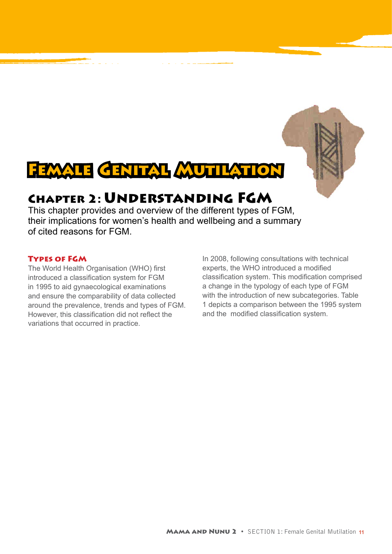

## Chapter 2: Understanding FGM

This chapter provides and overview of the different types of FGM, their implications for women's health and wellbeing and a summary of cited reasons for FGM.

#### Types of FGM

The World Health Organisation (WHO) first introduced a classification system for FGM in 1995 to aid gynaecological examinations and ensure the comparability of data collected around the prevalence, trends and types of FGM. However, this classification did not reflect the variations that occurred in practice.

In 2008, following consultations with technical experts, the WHO introduced a modified classification system. This modification comprised a change in the typology of each type of FGM with the introduction of new subcategories. Table 1 depicts a comparison between the 1995 system and the modified classification system.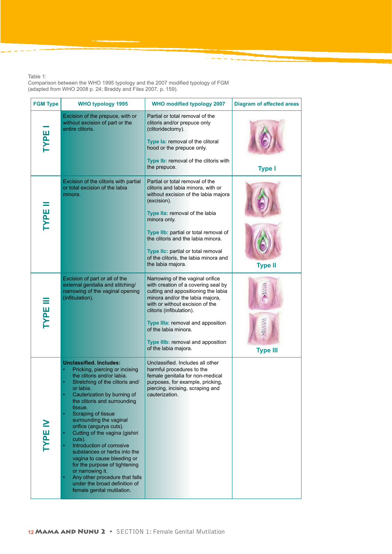Table 1:

Comparison between the WHO 1995 typology and the 2007 modified typology of FGM (adapted from WHO 2008 p. 24; Braddy and Files 2007, p. 159).

| <b>FGM Type</b> | <b>WHO typology 1995</b>                                                                                                                                                                                                                                                                                                                                                                                                                                                                                                                                                                                             | <b>WHO modified typology 2007</b>                                                                                                                                                                                                                                                                                                                                 | <b>Diagram of affected areas</b> |
|-----------------|----------------------------------------------------------------------------------------------------------------------------------------------------------------------------------------------------------------------------------------------------------------------------------------------------------------------------------------------------------------------------------------------------------------------------------------------------------------------------------------------------------------------------------------------------------------------------------------------------------------------|-------------------------------------------------------------------------------------------------------------------------------------------------------------------------------------------------------------------------------------------------------------------------------------------------------------------------------------------------------------------|----------------------------------|
| <b>TYPE</b>     | Excision of the prepuce, with or<br>without excision of part or the<br>entire clitoris.                                                                                                                                                                                                                                                                                                                                                                                                                                                                                                                              | Partial or total removal of the<br>clitoris and/or prepuce only<br>(clitoridectomy).<br>Type la: removal of the clitoral<br>hood or the prepuce only.<br>Type Ib: removal of the clitoris with<br>the prepuce.                                                                                                                                                    | <b>Type I</b>                    |
| TYPE            | Excision of the clitoris with partial<br>or total excision of the labia<br>minora.                                                                                                                                                                                                                                                                                                                                                                                                                                                                                                                                   | Partial or total removal of the<br>clitoris and labia minora, with or<br>without excision of the labia majora<br>(excision).<br>Type IIa: removal of the labia<br>minora only.<br>Type IIb: partial or total removal of<br>the clitoris and the labia minora.<br>Type IIc: partial or total removal<br>of the clitoris, the labia minora and<br>the labia majora. | <b>Type II</b>                   |
| <b>TYPE</b>     | Excision of part or all of the<br>external genitalia and stitching/<br>narrowing of the vaginal opening<br>(infibulation).                                                                                                                                                                                                                                                                                                                                                                                                                                                                                           | Narrowing of the vaginal orifice<br>with creation of a covering seal by<br>cutting and appositioning the labia<br>minora and/or the labia majora,<br>with or without excision of the<br>clitoris (infibulation).<br>Type IIIa: removal and apposition<br>of the labia minora.<br>Type IIIb: removal and apposition<br>of the labia majora.                        | <b>Type III</b>                  |
| <b>LAJE IN</b>  | <b>Unclassified. Includes:</b><br>Pricking, piercing or incising<br>the clitoris and/or labia.<br>Stretching of the clitoris and/<br>or labia.<br>Cauterization by burning of<br>the clitoris and surrounding<br>tissue.<br>Scraping of tissue<br>$\bullet$<br>surrounding the vaginal<br>orifice (angurya cuts).<br>Cutting of the vagina (gishiri<br>٠<br>cuts).<br>Introduction of corrosive<br>substances or herbs into the<br>vagina to cause bleeding or<br>for the purpose of tightening<br>or narrowing it.<br>Any other procedure that falls<br>under the broad definition of<br>female genital mutilation. | Unclassified. Includes all other<br>harmful procedures to the<br>female genitalia for non-medical<br>purposes, for example, pricking,<br>piercing, incising, scraping and<br>cauterization.                                                                                                                                                                       |                                  |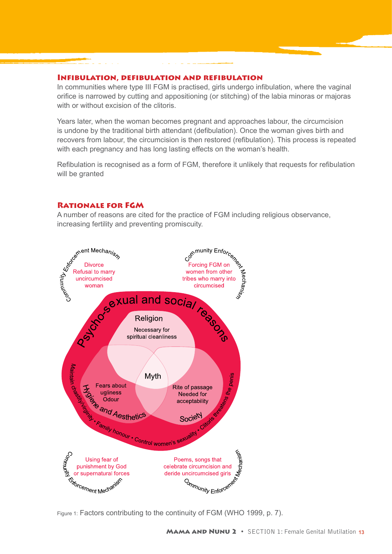#### Infibulation, defibulation and refibulation

In communities where type III FGM is practised, girls undergo infibulation, where the vaginal orifice is narrowed by cutting and appositioning (or stitching) of the labia minoras or majoras with or without excision of the clitoris.

Years later, when the woman becomes pregnant and approaches labour, the circumcision is undone by the traditional birth attendant (defibulation). Once the woman gives birth and recovers from labour, the circumcision is then restored (refibulation). This process is repeated with each pregnancy and has long lasting effects on the woman's health.

Refibulation is recognised as a form of FGM, therefore it unlikely that requests for refibulation will be granted

#### Rationale for FGM

A number of reasons are cited for the practice of FGM including religious observance, increasing fertility and preventing promiscuity.

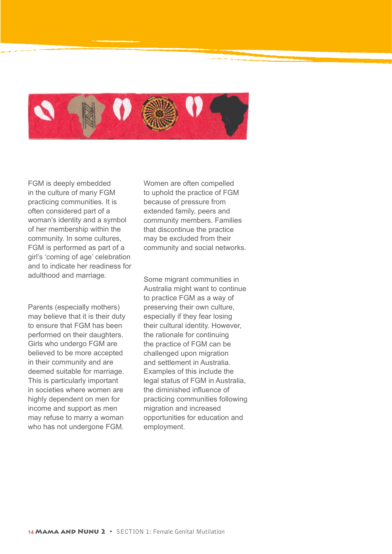

FGM is deeply embedded in the culture of many FGM practicing communities. It is often considered part of a woman's identity and a symbol of her membership within the community. In some cultures, FGM is performed as part of a girl's 'coming of age' celebration and to indicate her readiness for adulthood and marriage.

Parents (especially mothers) may believe that it is their duty to ensure that FGM has been performed on their daughters. Girls who undergo FGM are believed to be more accepted in their community and are deemed suitable for marriage. This is particularly important in societies where women are highly dependent on men for income and support as men may refuse to marry a woman who has not undergone FGM.

Women are often compelled to uphold the practice of FGM because of pressure from extended family, peers and community members. Families that discontinue the practice may be excluded from their community and social networks.

Some migrant communities in Australia might want to continue to practice FGM as a way of preserving their own culture, especially if they fear losing their cultural identity. However, the rationale for continuing the practice of FGM can be challenged upon migration and settlement in Australia. Examples of this include the legal status of FGM in Australia, the diminished influence of practicing communities following migration and increased opportunities for education and employment.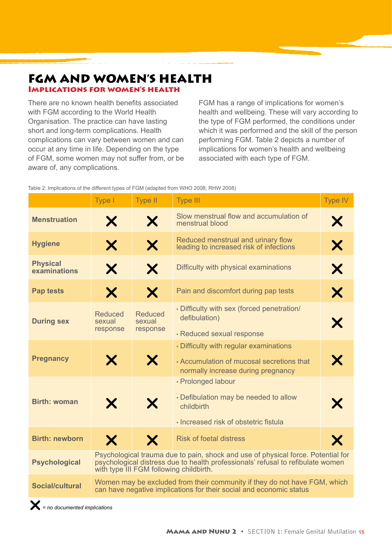#### FGM AND WOMEN'S HEALTH Implications for women's health

There are no known health benefits associated with FGM according to the World Health Organisation. The practice can have lasting short and long-term complications. Health complications can vary between women and can occur at any time in life. Depending on the type of FGM, some women may not suffer from, or be aware of, any complications.

FGM has a range of implications for women's health and wellbeing. These will vary according to the type of FGM performed, the conditions under which it was performed and the skill of the person performing FGM. Table 2 depicts a number of implications for women's health and wellbeing associated with each type of FGM.

| Table 2: Implications of the different types of FGM (adapted from WHO 2008; RHW 2008) |  |  |
|---------------------------------------------------------------------------------------|--|--|
|                                                                                       |  |  |

|                                 | Type I                                                                                                                                                                                                         | <b>Type II</b>                       | <b>Type III</b>                                                                                                           | <b>Type IV</b> |  |
|---------------------------------|----------------------------------------------------------------------------------------------------------------------------------------------------------------------------------------------------------------|--------------------------------------|---------------------------------------------------------------------------------------------------------------------------|----------------|--|
| <b>Menstruation</b>             | X                                                                                                                                                                                                              | X                                    | Slow menstrual flow and accumulation of<br>menstrual blood                                                                | Х              |  |
| <b>Hygiene</b>                  | X                                                                                                                                                                                                              | X                                    | Reduced menstrual and urinary flow<br>leading to increased risk of infections                                             | X              |  |
| <b>Physical</b><br>examinations | X                                                                                                                                                                                                              | X                                    | Difficulty with physical examinations                                                                                     | X              |  |
| <b>Pap tests</b>                | Х                                                                                                                                                                                                              | X                                    | Pain and discomfort during pap tests                                                                                      | X              |  |
| <b>During sex</b>               | <b>Reduced</b><br>sexual<br>response                                                                                                                                                                           | <b>Reduced</b><br>sexual<br>response | . Difficulty with sex (forced penetration/<br>defibulation)<br>· Reduced sexual response                                  | X              |  |
| <b>Pregnancy</b>                | X                                                                                                                                                                                                              | X                                    | • Difficulty with regular examinations<br>• Accumulation of mucosal secretions that<br>normally increase during pregnancy | X              |  |
| <b>Birth: woman</b>             | X                                                                                                                                                                                                              | X                                    | · Prolonged labour<br>• Defibulation may be needed to allow<br>childbirth<br>· Increased risk of obstetric fistula        | Х              |  |
| <b>Birth: newborn</b>           | X                                                                                                                                                                                                              | X                                    | <b>Risk of foetal distress</b>                                                                                            | X              |  |
| <b>Psychological</b>            | Psychological trauma due to pain, shock and use of physical force. Potential for<br>psychological distress due to health professionals' refusal to refibulate women<br>with type III FGM following childbirth. |                                      |                                                                                                                           |                |  |
| <b>Social/cultural</b>          | Women may be excluded from their community if they do not have FGM, which<br>can have negative implications for their social and economic status                                                               |                                      |                                                                                                                           |                |  |
|                                 |                                                                                                                                                                                                                |                                      |                                                                                                                           |                |  |

r*= no documented implications*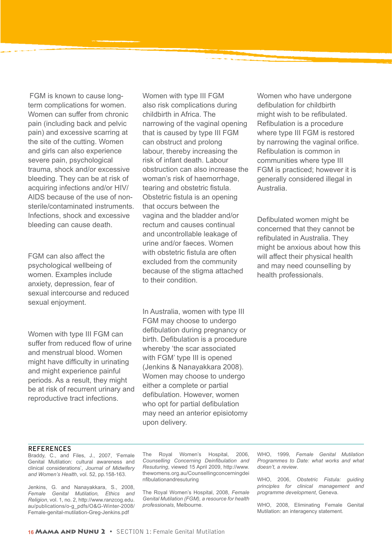FGM is known to cause longterm complications for women. Women can suffer from chronic pain (including back and pelvic pain) and excessive scarring at the site of the cutting. Women and girls can also experience severe pain, psychological trauma, shock and/or excessive bleeding. They can be at risk of acquiring infections and/or HIV/ AIDS because of the use of nonsterile/contaminated instruments. Infections, shock and excessive bleeding can cause death.

FGM can also affect the psychological wellbeing of women. Examples include anxiety, depression, fear of sexual intercourse and reduced sexual enjoyment.

Women with type III FGM can suffer from reduced flow of urine and menstrual blood. Women might have difficulty in urinating and might experience painful periods. As a result, they might be at risk of recurrent urinary and reproductive tract infections.

Women with type III FGM also risk complications during childbirth in Africa. The narrowing of the vaginal opening that is caused by type III FGM can obstruct and prolong labour, thereby increasing the risk of infant death. Labour obstruction can also increase the woman's risk of haemorrhage, tearing and obstetric fistula. Obstetric fistula is an opening that occurs between the vagina and the bladder and/or rectum and causes continual and uncontrollable leakage of urine and/or faeces. Women with obstetric fistula are often excluded from the community because of the stigma attached to their condition.

In Australia, women with type III FGM may choose to undergo defibulation during pregnancy or birth. Defibulation is a procedure whereby 'the scar associated with FGM' type III is opened (Jenkins & Nanayakkara 2008). Women may choose to undergo either a complete or partial defibulation. However, women who opt for partial defibulation may need an anterior episiotomy upon delivery.

Women who have undergone defibulation for childbirth might wish to be refibulated. Refibulation is a procedure where type III FGM is restored by narrowing the vaginal orifice. Refibulation is common in communities where type III FGM is practiced; however it is generally considered illegal in Australia.

Defibulated women might be concerned that they cannot be refibulated in Australia. They might be anxious about how this will affect their physical health and may need counselling by health professionals.

#### **REFERENCES**

Braddy, C., and Files, J., 2007, 'Female Genital Mutilation: cultural awareness and clinical considerations', *Journal of Midwifery and Women's Health*, vol. 52, pp.158-163.

Jenkins, G. and Nanayakkara, S., 2008, *Female Genital Mutilation, Ethics and Religion*, vol. 1, no. 2, http://www.ranzcog.edu. au/publications/o-g\_pdfs/O&G-Winter-2008/ Female-genital-mutilation-Greg-Jenkins.pdf

The Royal Women's Hospital, 2006, *Counselling Concerning Deinfibulation and Resuturing*, viewed 15 April 2009, http://www. thewomens.org.au/Counsellingconcerningdei nfibulationandresuturing

The Royal Women's Hospital, 2008, *Female Genital Mutilation (FGM), a resource for health professionals*, Melbourne.

WHO, 1999, *Female Genital Mutilation Programmes to Date: what works and what doesn't, a review*.

WHO, 2006, *Obstetric Fistula: guiding principles for clinical management and programme development*, Geneva.

WHO, 2008, Eliminating Female Genital Mutilation: an interagency statement.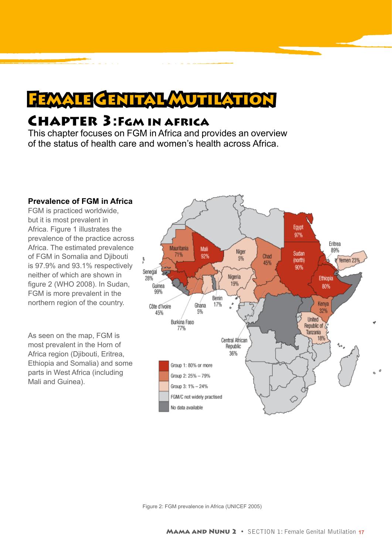## FEMALE GENITAL MUTILATION

### Chapter 3:Fgm in africa

This chapter focuses on FGM in Africa and provides an overview of the status of health care and women's health across Africa.

#### **Prevalence of FGM in Africa** FGM is practiced worldwide, but it is most prevalent in Egypt Africa. Figure 1 illustrates the 97% prevalence of the practice across Eritrea Africa. The estimated prevalence Mauritania Mali 89% Niger Sudan 71% 92% of FGM in Somalia and Djibouti Chad 5%  $\overline{\mathbf{s}}$ Yemen 23 (north) 45% is 97.9% and 93.1% respectively 90% Senegal neither of which are shown in Nigeria 28% Ethiopia 19% figure 2 (WHO 2008). In Sudan, Guinea 80% 99% FGM is more prevalent in the Benin northern region of the country. Kenya Ghana 17% Côte d'Ivoire 32% 45% 5% United Burkina Faso Republic of & 77% Tanzania As seen on the map, FGM is 18% Central African most prevalent in the Horn of Republic 36% Africa region (Djibouti, Eritrea, Ethiopia and Somalia) and some Group 1: 80% or more parts in West Africa (including Group 2: 25% - 79% Mali and Guinea). Group 3: 1% - 24%

FGM/C not widely practised

No data available

Figure 2: FGM prevalence in Africa (UNICEF 2005)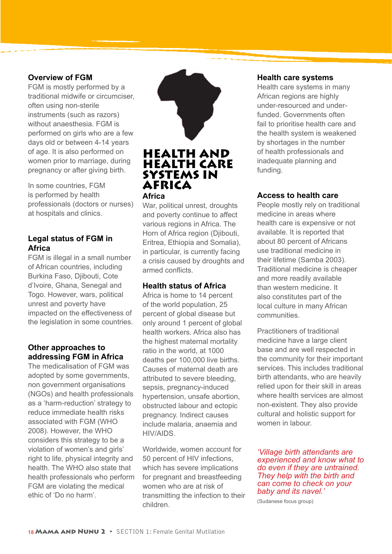#### **Overview of FGM**

FGM is mostly performed by a traditional midwife or circumciser, often using non-sterile instruments (such as razors) without anaesthesia. FGM is performed on girls who are a few days old or between 4-14 years of age. It is also performed on women prior to marriage, during pregnancy or after giving birth.

In some countries, FGM is performed by health professionals (doctors or nurses) at hospitals and clinics.

#### **Legal status of FGM in Africa**

FGM is illegal in a small number of African countries, including Burkina Faso, Djibouti, Cote d'Ivoire, Ghana, Senegal and Togo. However, wars, political unrest and poverty have impacted on the effectiveness of the legislation in some countries.

#### **Other approaches to addressing FGM in Africa**

The medicalisation of FGM was adopted by some governments, non government organisations (NGOs) and health professionals as a 'harm-reduction' strategy to reduce immediate health risks associated with FGM (WHO 2008). However, the WHO considers this strategy to be a violation of women's and girls' right to life, physical integrity and health. The WHO also state that health professionals who perform FGM are violating the medical ethic of 'Do no harm'.



#### HEALTH AND HEALTH CARE SYSTEMS IN AFRICA **Africa**

War, political unrest, droughts and poverty continue to affect various regions in Africa. The Horn of Africa region (Djibouti, Eritrea, Ethiopia and Somalia), in particular, is currently facing a crisis caused by droughts and armed conflicts.

#### **Health status of Africa**

Africa is home to 14 percent of the world population, 25 percent of global disease but only around 1 percent of global health workers. Africa also has the highest maternal mortality ratio in the world, at 1000 deaths per 100,000 live births. Causes of maternal death are attributed to severe bleeding, sepsis, pregnancy-induced hypertension, unsafe abortion, obstructed labour and ectopic pregnancy. Indirect causes include malaria, anaemia and HIV/AIDS.

Worldwide, women account for 50 percent of HIV infections, which has severe implications for pregnant and breastfeeding women who are at risk of transmitting the infection to their children.

#### **Health care systems**

Health care systems in many African regions are highly under-resourced and underfunded. Governments often fail to prioritise health care and the health system is weakened by shortages in the number of health professionals and inadequate planning and funding.

#### **Access to health care**

People mostly rely on traditional medicine in areas where health care is expensive or not available. It is reported that about 80 percent of Africans use traditional medicine in their lifetime (Samba 2003). Traditional medicine is cheaper and more readily available than western medicine. It also constitutes part of the local culture in many African communities.

Practitioners of traditional medicine have a large client base and are well respected in the community for their important services. This includes traditional birth attendants, who are heavily relied upon for their skill in areas where health services are almost non-existent. They also provide cultural and holistic support for women in labour.

*'Village birth attendants are experienced and know what to do even if they are untrained. They help with the birth and can come to check on your baby and its navel.'* 

(Sudanese focus group)